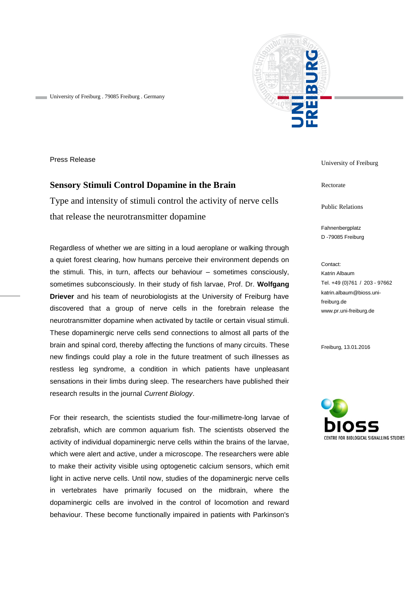



Press Release

## **Sensory Stimuli Control Dopamine in the Brain**

Type and intensity of stimuli control the activity of nerve cells that release the neurotransmitter dopamine

Regardless of whether we are sitting in a loud aeroplane or walking through a quiet forest clearing, how humans perceive their environment depends on the stimuli. This, in turn, affects our behaviour – sometimes consciously, sometimes subconsciously. In their study of fish larvae, Prof. Dr. **Wolfgang Driever** and his team of neurobiologists at the University of Freiburg have discovered that a group of nerve cells in the forebrain release the neurotransmitter dopamine when activated by tactile or certain visual stimuli. These dopaminergic nerve cells send connections to almost all parts of the brain and spinal cord, thereby affecting the functions of many circuits. These new findings could play a role in the future treatment of such illnesses as restless leg syndrome, a condition in which patients have unpleasant sensations in their limbs during sleep. The researchers have published their research results in the journal *Current Biology*.

For their research, the scientists studied the four-millimetre-long larvae of zebrafish, which are common aquarium fish. The scientists observed the activity of individual dopaminergic nerve cells within the brains of the larvae, which were alert and active, under a microscope. The researchers were able to make their activity visible using optogenetic calcium sensors, which emit light in active nerve cells. Until now, studies of the dopaminergic nerve cells in vertebrates have primarily focused on the midbrain, where the dopaminergic cells are involved in the control of locomotion and reward behaviour. These become functionally impaired in patients with Parkinson's

University of Freiburg

Rectorate

Public Relations

Fahnenbergplatz D -79085 Freiburg

Contact: Katrin Albaum Tel. +49 (0)761 / 203 - 97662 katrin.albaum@bioss.unifreiburg.de www.pr.uni-freiburg.de

Freiburg, 13.01.2016

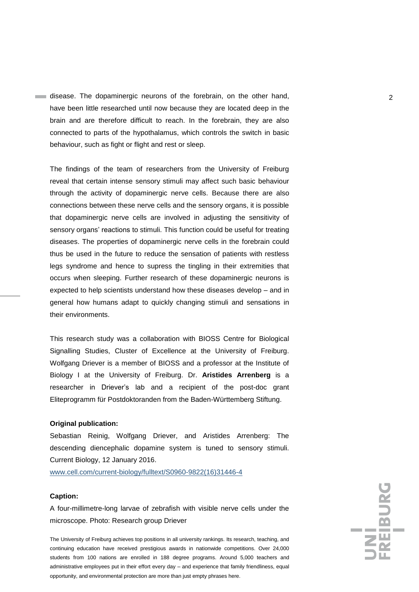disease. The dopaminergic neurons of the forebrain, on the other hand, 2 have been little researched until now because they are located deep in the brain and are therefore difficult to reach. In the forebrain, they are also connected to parts of the hypothalamus, which controls the switch in basic behaviour, such as fight or flight and rest or sleep.

The findings of the team of researchers from the University of Freiburg reveal that certain intense sensory stimuli may affect such basic behaviour through the activity of dopaminergic nerve cells. Because there are also connections between these nerve cells and the sensory organs, it is possible that dopaminergic nerve cells are involved in adjusting the sensitivity of sensory organs' reactions to stimuli. This function could be useful for treating diseases. The properties of dopaminergic nerve cells in the forebrain could thus be used in the future to reduce the sensation of patients with restless legs syndrome and hence to supress the tingling in their extremities that occurs when sleeping. Further research of these dopaminergic neurons is expected to help scientists understand how these diseases develop – and in general how humans adapt to quickly changing stimuli and sensations in their environments.

This research study was a collaboration with BIOSS Centre for Biological Signalling Studies, Cluster of Excellence at the University of Freiburg. Wolfgang Driever is a member of BIOSS and a professor at the Institute of Biology I at the University of Freiburg. Dr. **Aristides Arrenberg** is a researcher in Driever's lab and a recipient of the post-doc grant Eliteprogramm für Postdoktoranden from the Baden-Württemberg Stiftung.

## **Original publication:**

Sebastian Reinig, Wolfgang Driever, and Aristides Arrenberg: The descending diencephalic dopamine system is tuned to sensory stimuli. Current Biology, 12 January 2016.

www.cell.com/current-biology/fulltext/S0960-9822(16)31446-4

## **Caption:**

A four-millimetre-long larvae of zebrafish with visible nerve cells under the microscope. Photo: Research group Driever

The University of Freiburg achieves top positions in all university rankings. Its research, teaching, and continuing education have received prestigious awards in nationwide competitions. Over 24,000 students from 100 nations are enrolled in 188 degree programs. Around 5,000 teachers and administrative employees put in their effort every day – and experience that family friendliness, equal opportunity, and environmental protection are more than just empty phrases here.